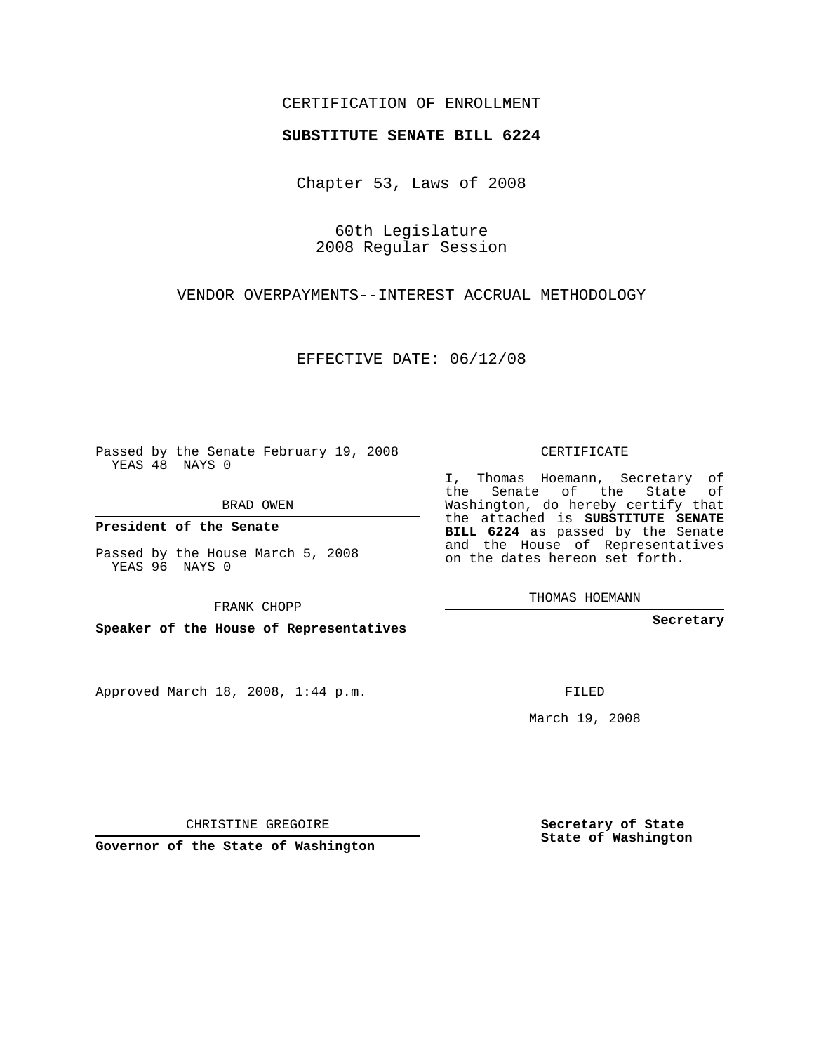## CERTIFICATION OF ENROLLMENT

## **SUBSTITUTE SENATE BILL 6224**

Chapter 53, Laws of 2008

60th Legislature 2008 Regular Session

VENDOR OVERPAYMENTS--INTEREST ACCRUAL METHODOLOGY

EFFECTIVE DATE: 06/12/08

Passed by the Senate February 19, 2008 YEAS 48 NAYS 0

BRAD OWEN

**President of the Senate**

Passed by the House March 5, 2008 YEAS 96 NAYS 0

FRANK CHOPP

**Speaker of the House of Representatives**

Approved March 18, 2008, 1:44 p.m.

CERTIFICATE

I, Thomas Hoemann, Secretary of the Senate of the State of Washington, do hereby certify that the attached is **SUBSTITUTE SENATE BILL 6224** as passed by the Senate and the House of Representatives on the dates hereon set forth.

THOMAS HOEMANN

**Secretary**

FILED

March 19, 2008

**Secretary of State State of Washington**

CHRISTINE GREGOIRE

**Governor of the State of Washington**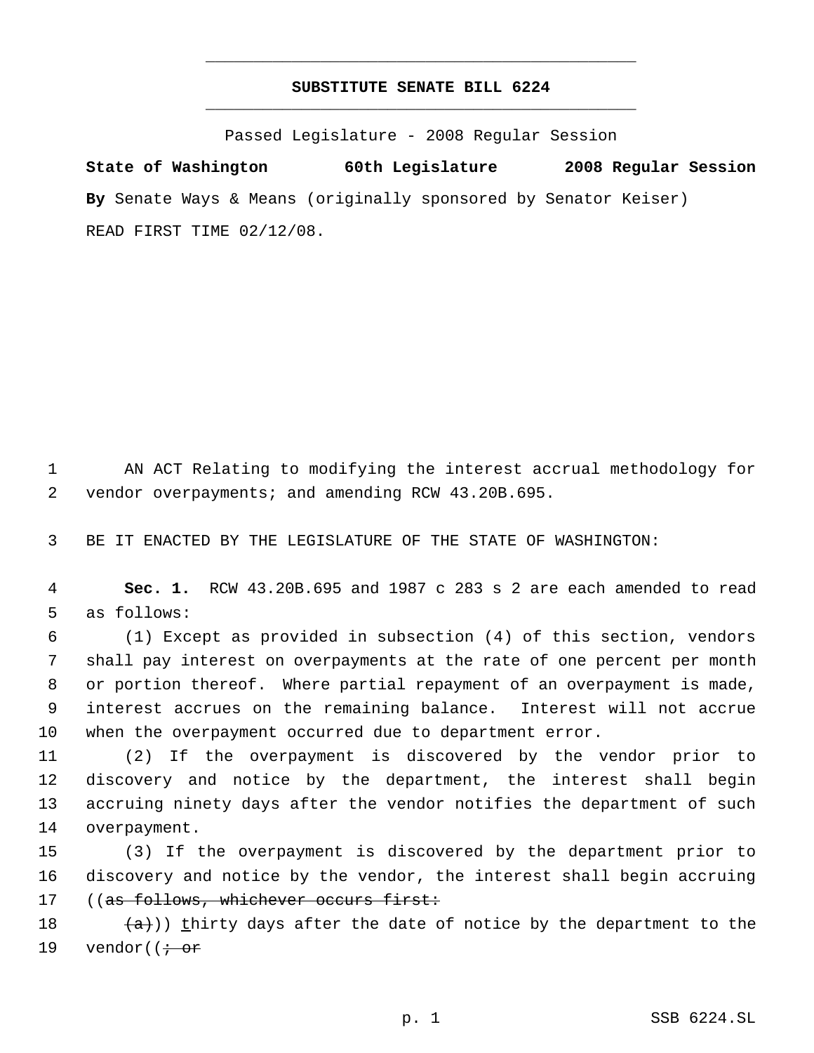## **SUBSTITUTE SENATE BILL 6224** \_\_\_\_\_\_\_\_\_\_\_\_\_\_\_\_\_\_\_\_\_\_\_\_\_\_\_\_\_\_\_\_\_\_\_\_\_\_\_\_\_\_\_\_\_

\_\_\_\_\_\_\_\_\_\_\_\_\_\_\_\_\_\_\_\_\_\_\_\_\_\_\_\_\_\_\_\_\_\_\_\_\_\_\_\_\_\_\_\_\_

Passed Legislature - 2008 Regular Session

**State of Washington 60th Legislature 2008 Regular Session By** Senate Ways & Means (originally sponsored by Senator Keiser) READ FIRST TIME 02/12/08.

 AN ACT Relating to modifying the interest accrual methodology for vendor overpayments; and amending RCW 43.20B.695.

BE IT ENACTED BY THE LEGISLATURE OF THE STATE OF WASHINGTON:

 **Sec. 1.** RCW 43.20B.695 and 1987 c 283 s 2 are each amended to read as follows:

 (1) Except as provided in subsection (4) of this section, vendors shall pay interest on overpayments at the rate of one percent per month or portion thereof. Where partial repayment of an overpayment is made, interest accrues on the remaining balance. Interest will not accrue when the overpayment occurred due to department error.

 (2) If the overpayment is discovered by the vendor prior to discovery and notice by the department, the interest shall begin accruing ninety days after the vendor notifies the department of such overpayment.

 (3) If the overpayment is discovered by the department prior to discovery and notice by the vendor, the interest shall begin accruing 17 ((as follows, whichever occurs first:

 $(a+)$ ) thirty days after the date of notice by the department to the 19 vendor( $\dot{\theta}$  or